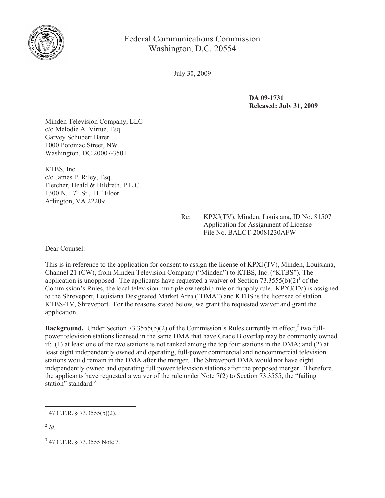

Federal Communications Commission Washington, D.C. 20554

July 30, 2009

**DA 09-1731 Released: July 31, 2009**

Minden Television Company, LLC c/o Melodie A. Virtue, Esq. Garvey Schubert Barer 1000 Potomac Street, NW Washington, DC 20007-3501

KTBS, Inc. c/o James P. Riley, Esq. Fletcher, Heald & Hildreth, P.L.C. 1300 N.  $17^{th}$  St.,  $11^{th}$  Floor Arlington, VA 22209

> Re: KPXJ(TV), Minden, Louisiana, ID No. 81507 Application for Assignment of License File No. BALCT-20081230AFW

Dear Counsel:

This is in reference to the application for consent to assign the license of KPXJ(TV), Minden, Louisiana, Channel 21 (CW), from Minden Television Company ("Minden") to KTBS, Inc. ("KTBS"). The application is unopposed. The applicants have requested a waiver of Section  $73.3555(b)(2)^{1}$  of the Commission's Rules, the local television multiple ownership rule or duopoly rule. KPXJ(TV) is assigned to the Shreveport, Louisiana Designated Market Area ("DMA") and KTBS is the licensee of station KTBS-TV, Shreveport. For the reasons stated below, we grant the requested waiver and grant the application.

Background. Under Section 73.3555(b)(2) of the Commission's Rules currently in effect,<sup>2</sup> two fullpower television stations licensed in the same DMA that have Grade B overlap may be commonly owned if: (1) at least one of the two stations is not ranked among the top four stations in the DMA; and (2) at least eight independently owned and operating, full-power commercial and noncommercial television stations would remain in the DMA after the merger. The Shreveport DMA would not have eight independently owned and operating full power television stations after the proposed merger. Therefore, the applicants have requested a waiver of the rule under Note 7(2) to Section 73.3555, the "failing station" standard.<sup>3</sup>

 $1$  47 C.F.R. § 73.3555(b)(2).

<sup>2</sup> *Id.*

<sup>&</sup>lt;sup>3</sup> 47 C.F.R. § 73.3555 Note 7.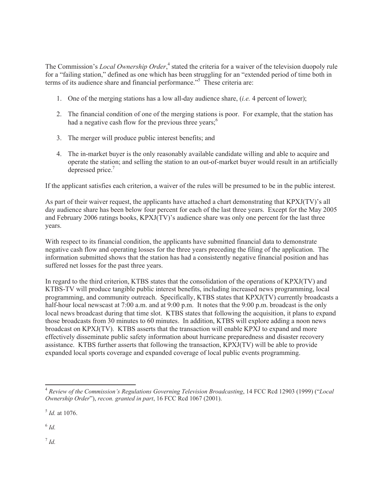The Commission's *Local Ownership Order*,<sup>4</sup> stated the criteria for a waiver of the television duopoly rule for a "failing station," defined as one which has been struggling for an "extended period of time both in terms of its audience share and financial performance."<sup>5</sup> These criteria are:

- 1. One of the merging stations has a low all-day audience share, (*i.e.* 4 percent of lower);
- 2. The financial condition of one of the merging stations is poor. For example, that the station has had a negative cash flow for the previous three years;<sup>6</sup>
- 3. The merger will produce public interest benefits; and
- 4. The in-market buyer is the only reasonably available candidate willing and able to acquire and operate the station; and selling the station to an out-of-market buyer would result in an artificially depressed price.<sup>7</sup>

If the applicant satisfies each criterion, a waiver of the rules will be presumed to be in the public interest.

As part of their waiver request, the applicants have attached a chart demonstrating that KPXJ(TV)'s all day audience share has been below four percent for each of the last three years. Except for the May 2005 and February 2006 ratings books, KPXJ(TV)'s audience share was only one percent for the last three years.

With respect to its financial condition, the applicants have submitted financial data to demonstrate negative cash flow and operating losses for the three years preceding the filing of the application. The information submitted shows that the station has had a consistently negative financial position and has suffered net losses for the past three years.

In regard to the third criterion, KTBS states that the consolidation of the operations of KPXJ(TV) and KTBS-TV will produce tangible public interest benefits, including increased news programming, local programming, and community outreach. Specifically, KTBS states that KPXJ(TV) currently broadcasts a half-hour local newscast at 7:00 a.m. and at 9:00 p.m. It notes that the 9:00 p.m. broadcast is the only local news broadcast during that time slot. KTBS states that following the acquisition, it plans to expand those broadcasts from 30 minutes to 60 minutes. In addition, KTBS will explore adding a noon news broadcast on KPXJ(TV). KTBS asserts that the transaction will enable KPXJ to expand and more effectively disseminate public safety information about hurricane preparedness and disaster recovery assistance. KTBS further asserts that following the transaction, KPXJ(TV) will be able to provide expanded local sports coverage and expanded coverage of local public events programming.

6 *Id.*

7 *Id.*

<sup>4</sup> *Review of the Commission's Regulations Governing Television Broadcasting*, 14 FCC Rcd 12903 (1999) ("*Local Ownership Order*"), *recon. granted in part*, 16 FCC Rcd 1067 (2001).

<sup>5</sup> *Id.* at 1076.